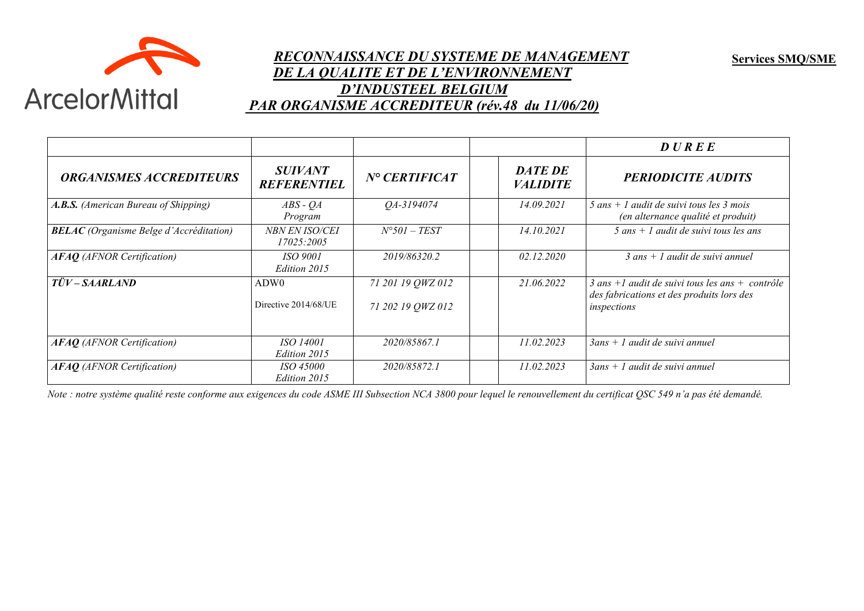

**ArcelorMittal** 

## *RECONNAISSANCE DU SYSTEME DE MANAGEMENT DE LA QUALITE ET DE L'ENVIRONNEMENT D'INDUSTEEL BELGIUM PAR ORGANISME ACCREDITEUR (rév.48 du 11/06/20)*

**Services SMQ/SME**

|                                                |                                          |                                        |                                   | <b>DUREE</b>                                                                                                            |
|------------------------------------------------|------------------------------------------|----------------------------------------|-----------------------------------|-------------------------------------------------------------------------------------------------------------------------|
| <b>ORGANISMES ACCREDITEURS</b>                 | <i>SUIVANT</i><br><b>REFERENTIEL</b>     | $N^{\circ}$ CERTIFICAT                 | <b>DATE DE</b><br><b>VALIDITE</b> | <b>PERIODICITE AUDITS</b>                                                                                               |
| A.B.S. (American Bureau of Shipping)           | $ABS - OA$<br>Program                    | QA-3194074                             | 14.09.2021                        | 5 ans $+$ 1 audit de suivi tous les 3 mois<br>(en alternance qualité et produit)                                        |
| <b>BELAC</b> (Organisme Belge d'Accréditation) | <b>NBN EN ISO/CEI</b><br>17025:2005      | $N^{\circ}501 - TEST$                  | 14.10.2021                        | $5$ ans $+$ l audit de suivi tous les ans                                                                               |
| <b>AFAQ</b> (AFNOR Certification)              | <i>ISO 9001</i><br>Edition 2015          | 2019/86320.2                           | 02.12.2020                        | $3$ ans + 1 audit de suivi annuel                                                                                       |
| TÜV – SAARLAND                                 | ADW <sub>0</sub><br>Directive 2014/68/UE | 71 201 19 QWZ 012<br>71 202 19 QWZ 012 | 21.06.2022                        | $\frac{3}{2}$ ans +1 audit de suivi tous les ans + contrôle<br>des fabrications et des produits lors des<br>inspections |
| <b>AFAQ</b> (AFNOR Certification)              | <i>ISO 14001</i><br>Edition 2015         | 2020/85867.1                           | 11.02.2023                        | $3ans + 1$ audit de suivi annuel                                                                                        |
| <b>AFAQ</b> (AFNOR Certification)              | <i>ISO 45000</i><br>Edition 2015         | 2020/85872.1                           | 11.02.2023                        | $3ans + 1$ audit de suivi annuel                                                                                        |

*Note : notre système qualité reste conforme aux exigences du code ASME III Subsection NCA 3800 pour lequel le renouvellement du certificat QSC 549 n'a pas été demandé.*